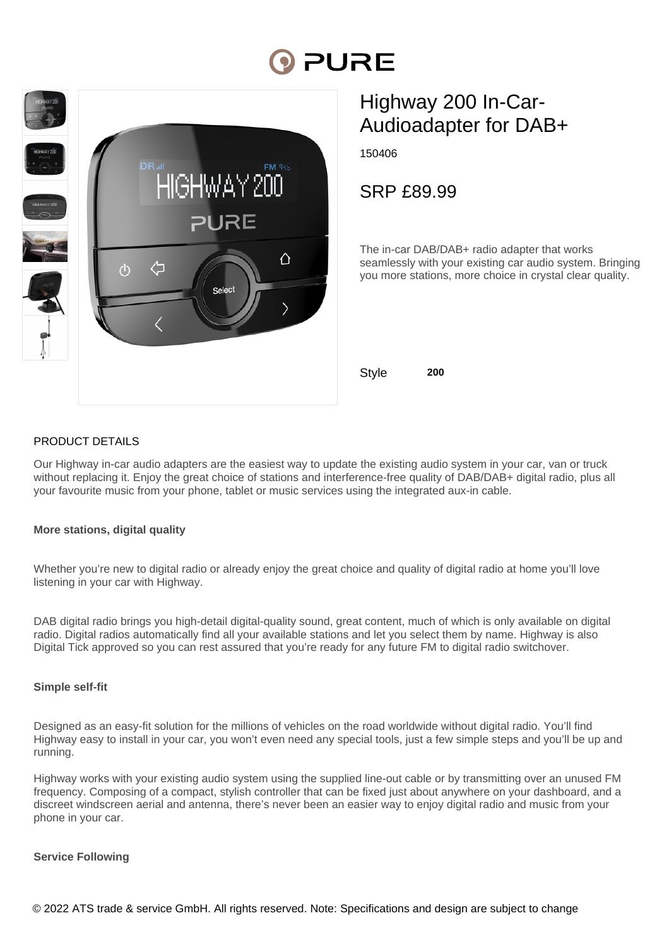# PURE



# Highway 200 In-Car-Audioadapter for DAB+

150406

SRP £89.99

The in-car DAB/DAB+ radio adapter that works seamlessly with your existing car audio system. Bringing you more stations, more choice in crystal clear quality.

Style **200**

## PRODUCT DETAILS

Our Highway in-car audio adapters are the easiest way to update the existing audio system in your car, van or truck without replacing it. Enjoy the great choice of stations and interference-free quality of DAB/DAB+ digital radio, plus all your favourite music from your phone, tablet or music services using the integrated aux-in cable.

### **More stations, digital quality**

Whether you're new to digital radio or already enjoy the great choice and quality of digital radio at home you'll love listening in your car with Highway.

DAB digital radio brings you high-detail digital-quality sound, great content, much of which is only available on digital radio. Digital radios automatically find all your available stations and let you select them by name. Highway is also Digital Tick approved so you can rest assured that you're ready for any future FM to digital radio switchover.

#### **Simple self-fit**

Designed as an easy-fit solution for the millions of vehicles on the road worldwide without digital radio. You'll find Highway easy to install in your car, you won't even need any special tools, just a few simple steps and you'll be up and running.

Highway works with your existing audio system using the supplied line-out cable or by transmitting over an unused FM frequency. Composing of a compact, stylish controller that can be fixed just about anywhere on your dashboard, and a discreet windscreen aerial and antenna, there's never been an easier way to enjoy digital radio and music from your phone in your car.

#### **Service Following**